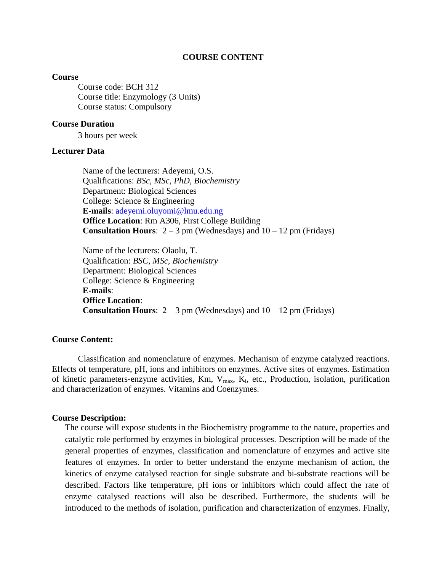### **COURSE CONTENT**

#### **Course**

Course code: BCH 312 Course title: Enzymology (3 Units) Course status: Compulsory

### **Course Duration**

3 hours per week

## **Lecturer Data**

Name of the lecturers: Adeyemi, O.S. Qualifications: *BSc, MSc, PhD, Biochemistry* Department: Biological Sciences College: Science & Engineering **E-mails**: [adeyemi.oluyomi@lmu.edu.ng](mailto:adeyemi.oluyomi@lmu.edu.ng) **Office Location**: Rm A306, First College Building **Consultation Hours**:  $2 - 3$  pm (Wednesdays) and  $10 - 12$  pm (Fridays)

Name of the lecturers: Olaolu, T. Qualification: *BSC, MSc, Biochemistry* Department: Biological Sciences College: Science & Engineering **E-mails**: **Office Location**: **Consultation Hours**:  $2 - 3$  pm (Wednesdays) and  $10 - 12$  pm (Fridays)

## **Course Content:**

Classification and nomenclature of enzymes. Mechanism of enzyme catalyzed reactions. Effects of temperature, pH, ions and inhibitors on enzymes. Active sites of enzymes. Estimation of kinetic parameters-enzyme activities, Km,  $V_{max}$ , K<sub>i</sub>, etc., Production, isolation, purification and characterization of enzymes. Vitamins and Coenzymes.

#### **Course Description:**

The course will expose students in the Biochemistry programme to the nature, properties and catalytic role performed by enzymes in biological processes. Description will be made of the general properties of enzymes, classification and nomenclature of enzymes and active site features of enzymes. In order to better understand the enzyme mechanism of action, the kinetics of enzyme catalysed reaction for single substrate and bi-substrate reactions will be described. Factors like temperature, pH ions or inhibitors which could affect the rate of enzyme catalysed reactions will also be described. Furthermore, the students will be introduced to the methods of isolation, purification and characterization of enzymes. Finally,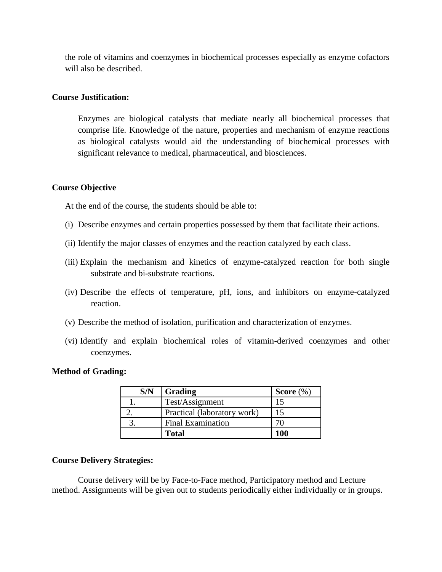the role of vitamins and coenzymes in biochemical processes especially as enzyme cofactors will also be described.

## **Course Justification:**

Enzymes are biological catalysts that mediate nearly all biochemical processes that comprise life. Knowledge of the nature, properties and mechanism of enzyme reactions as biological catalysts would aid the understanding of biochemical processes with significant relevance to medical, pharmaceutical, and biosciences.

## **Course Objective**

At the end of the course, the students should be able to:

- (i) Describe enzymes and certain properties possessed by them that facilitate their actions.
- (ii) Identify the major classes of enzymes and the reaction catalyzed by each class.
- (iii) Explain the mechanism and kinetics of enzyme-catalyzed reaction for both single substrate and bi-substrate reactions.
- (iv) Describe the effects of temperature, pH, ions, and inhibitors on enzyme-catalyzed reaction.
- (v) Describe the method of isolation, purification and characterization of enzymes.
- (vi) Identify and explain biochemical roles of vitamin-derived coenzymes and other coenzymes.

### **Method of Grading:**

| S/N | Grading                     | <b>Score</b> $(\%)$ |
|-----|-----------------------------|---------------------|
|     | Test/Assignment             |                     |
|     | Practical (laboratory work) |                     |
|     | <b>Final Examination</b>    |                     |
|     | Total                       | 100                 |

## **Course Delivery Strategies:**

Course delivery will be by Face-to-Face method, Participatory method and Lecture method. Assignments will be given out to students periodically either individually or in groups.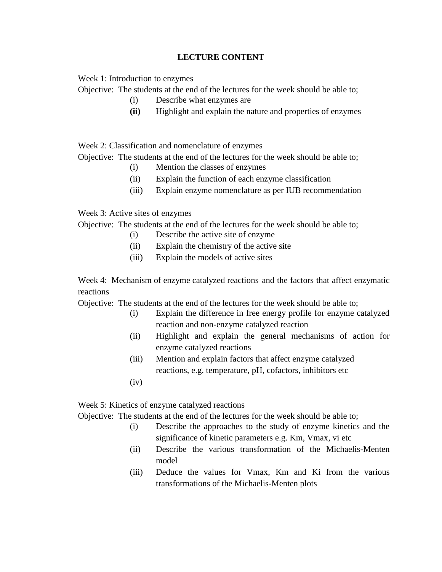# **LECTURE CONTENT**

Week 1: Introduction to enzymes

Objective: The students at the end of the lectures for the week should be able to;

- (i) Describe what enzymes are
- **(ii)** Highlight and explain the nature and properties of enzymes

Week 2: Classification and nomenclature of enzymes

Objective: The students at the end of the lectures for the week should be able to;

- (i) Mention the classes of enzymes
- (ii) Explain the function of each enzyme classification
- (iii) Explain enzyme nomenclature as per IUB recommendation

Week 3: Active sites of enzymes

Objective: The students at the end of the lectures for the week should be able to;

- (i) Describe the active site of enzyme
	- (ii) Explain the chemistry of the active site
	- (iii) Explain the models of active sites

Week 4: Mechanism of enzyme catalyzed reactions and the factors that affect enzymatic reactions

Objective: The students at the end of the lectures for the week should be able to;

- (i) Explain the difference in free energy profile for enzyme catalyzed reaction and non-enzyme catalyzed reaction
- (ii) Highlight and explain the general mechanisms of action for enzyme catalyzed reactions
- (iii) Mention and explain factors that affect enzyme catalyzed reactions, e.g. temperature, pH, cofactors, inhibitors etc
- $(iv)$

Week 5: Kinetics of enzyme catalyzed reactions

Objective: The students at the end of the lectures for the week should be able to;

- (i) Describe the approaches to the study of enzyme kinetics and the significance of kinetic parameters e.g. Km, Vmax, vi etc
- (ii) Describe the various transformation of the Michaelis-Menten model
- (iii) Deduce the values for Vmax, Km and Ki from the various transformations of the Michaelis-Menten plots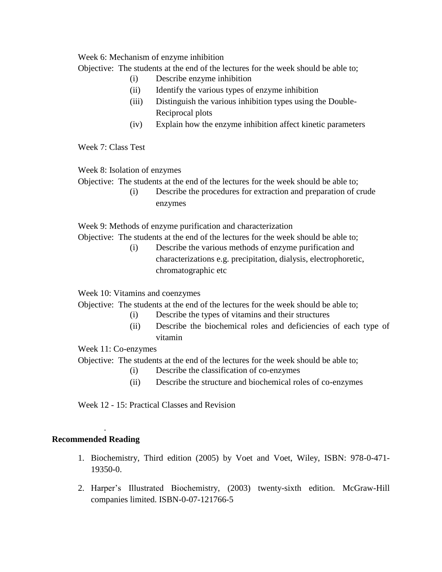Week 6: Mechanism of enzyme inhibition

Objective: The students at the end of the lectures for the week should be able to;

- (i) Describe enzyme inhibition
- (ii) Identify the various types of enzyme inhibition
- (iii) Distinguish the various inhibition types using the Double-Reciprocal plots
- (iv) Explain how the enzyme inhibition affect kinetic parameters

Week 7: Class Test

Week 8: Isolation of enzymes

Objective: The students at the end of the lectures for the week should be able to;

(i) Describe the procedures for extraction and preparation of crude enzymes

Week 9: Methods of enzyme purification and characterization

Objective: The students at the end of the lectures for the week should be able to;

(i) Describe the various methods of enzyme purification and characterizations e.g. precipitation, dialysis, electrophoretic, chromatographic etc

Week 10: Vitamins and coenzymes

Objective: The students at the end of the lectures for the week should be able to;

- (i) Describe the types of vitamins and their structures
- (ii) Describe the biochemical roles and deficiencies of each type of vitamin

Week 11: Co-enzymes

Objective: The students at the end of the lectures for the week should be able to;

- (i) Describe the classification of co-enzymes
- (ii) Describe the structure and biochemical roles of co-enzymes

Week 12 - 15: Practical Classes and Revision

## **Recommended Reading**

.

- 1. Biochemistry, Third edition (2005) by Voet and Voet, Wiley, ISBN: 978-0-471- 19350-0.
- 2. Harper's Illustrated Biochemistry, (2003) twenty-sixth edition. McGraw-Hill companies limited. ISBN-0-07-121766-5